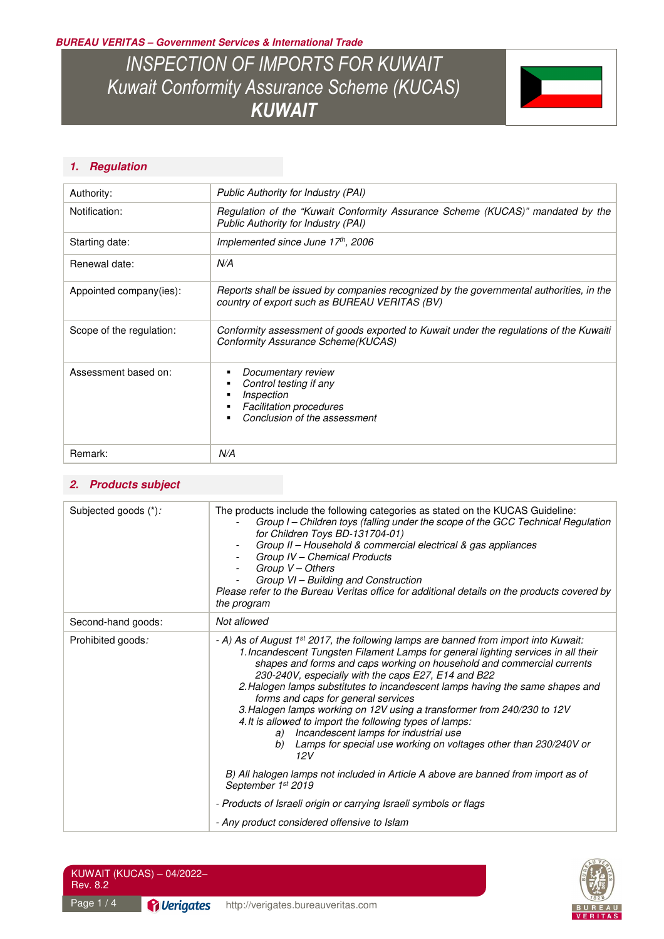**BUREAU VERITAS – Government Services & International Trade** 

*INSPECTION OF IMPORTS FOR KUWAIT Kuwait Conformity Assurance Scheme (KUCAS) KUWAIT* 



### **1. Regulation**

| Authority:               | Public Authority for Industry (PAI)                                                                                                      |
|--------------------------|------------------------------------------------------------------------------------------------------------------------------------------|
| Notification:            | Regulation of the "Kuwait Conformity Assurance Scheme (KUCAS)" mandated by the<br>Public Authority for Industry (PAI)                    |
| Starting date:           | Implemented since June 17th, 2006                                                                                                        |
| Renewal date:            | N/A                                                                                                                                      |
| Appointed company(ies):  | Reports shall be issued by companies recognized by the governmental authorities, in the<br>country of export such as BUREAU VERITAS (BV) |
| Scope of the regulation: | Conformity assessment of goods exported to Kuwait under the regulations of the Kuwaiti<br>Conformity Assurance Scheme(KUCAS)             |
| Assessment based on:     | Documentary review<br>٠<br>Control testing if any<br>Inspection<br><b>Facilitation procedures</b><br>Conclusion of the assessment        |
| Remark:                  | N/A                                                                                                                                      |

### **2. Products subject**

| Subjected goods (*): | The products include the following categories as stated on the KUCAS Guideline:<br>Group I - Children toys (falling under the scope of the GCC Technical Regulation<br>for Children Toys BD-131704-01)<br>Group II - Household & commercial electrical & gas appliances<br>Group IV - Chemical Products<br>Group V - Others<br>Group VI - Building and Construction<br>Please refer to the Bureau Veritas office for additional details on the products covered by<br>the program                                                                                                                                                                                                                                                                                                                                                |  |
|----------------------|----------------------------------------------------------------------------------------------------------------------------------------------------------------------------------------------------------------------------------------------------------------------------------------------------------------------------------------------------------------------------------------------------------------------------------------------------------------------------------------------------------------------------------------------------------------------------------------------------------------------------------------------------------------------------------------------------------------------------------------------------------------------------------------------------------------------------------|--|
| Second-hand goods:   | Not allowed                                                                                                                                                                                                                                                                                                                                                                                                                                                                                                                                                                                                                                                                                                                                                                                                                      |  |
| Prohibited goods:    | - A) As of August 1 <sup>st</sup> 2017, the following lamps are banned from import into Kuwait:<br>1. Incandescent Tungsten Filament Lamps for general lighting services in all their<br>shapes and forms and caps working on household and commercial currents<br>230-240V, especially with the caps E27, E14 and B22<br>2. Halogen lamps substitutes to incandescent lamps having the same shapes and<br>forms and caps for general services<br>3. Halogen lamps working on 12V using a transformer from 240/230 to 12V<br>4. It is allowed to import the following types of lamps:<br>Incandescent lamps for industrial use<br>a)<br>Lamps for special use working on voltages other than 230/240V or<br>b)<br>12V<br>B) All halogen lamps not included in Article A above are banned from import as of<br>September 1st 2019 |  |
|                      | - Products of Israeli origin or carrying Israeli symbols or flags                                                                                                                                                                                                                                                                                                                                                                                                                                                                                                                                                                                                                                                                                                                                                                |  |
|                      | - Any product considered offensive to Islam                                                                                                                                                                                                                                                                                                                                                                                                                                                                                                                                                                                                                                                                                                                                                                                      |  |

| KUWAIT (KUCAS) - 04/2022-<br>Rev. 8.2 |                                              |                                    |  |
|---------------------------------------|----------------------------------------------|------------------------------------|--|
| Page $1/4$                            | <sup><i><u><b>Pi</b></u></i> Verigates</sup> | http://verigates.bureauveritas.com |  |

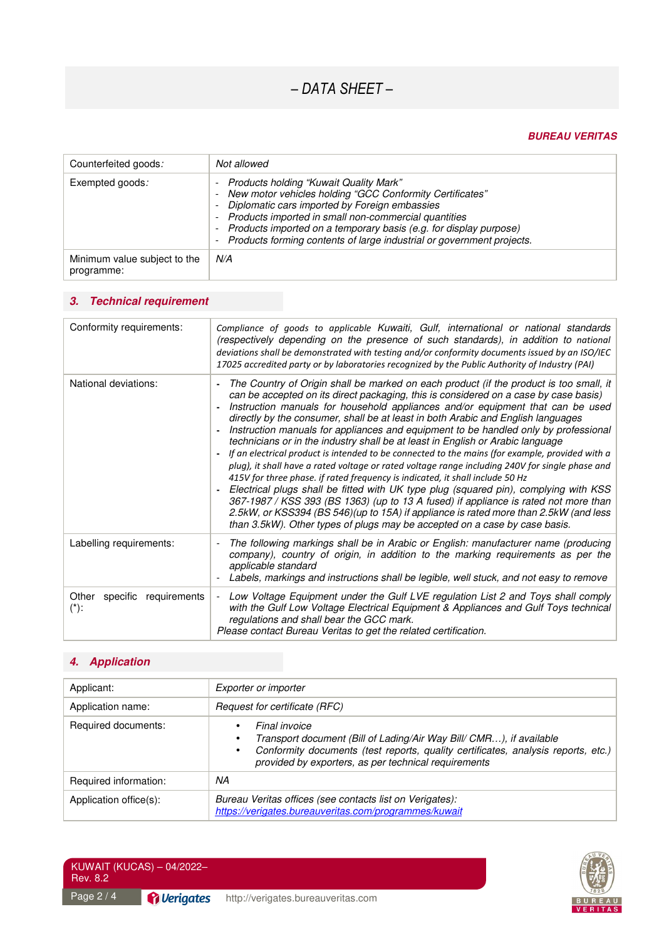# *– DATA SHEET –*

#### **BUREAU VERITAS**

| Counterfeited goods:                       | Not allowed                                                                                                                                                                                                                                                                                                                                                                                                                                          |
|--------------------------------------------|------------------------------------------------------------------------------------------------------------------------------------------------------------------------------------------------------------------------------------------------------------------------------------------------------------------------------------------------------------------------------------------------------------------------------------------------------|
| Exempted goods:                            | <b>Products holding "Kuwait Quality Mark"</b><br>New motor vehicles holding "GCC Conformity Certificates"<br>-<br>Diplomatic cars imported by Foreign embassies<br>$\overline{\phantom{a}}$<br>Products imported in small non-commercial quantities<br>-<br>Products imported on a temporary basis (e.g. for display purpose)<br>$\overline{\phantom{a}}$<br>Products forming contents of large industrial or government projects.<br>$\overline{a}$ |
| Minimum value subject to the<br>programme: | N/A                                                                                                                                                                                                                                                                                                                                                                                                                                                  |

## **3. Technical requirement**

| Conformity requirements:                  | Compliance of goods to applicable Kuwaiti, Gulf, international or national standards<br>(respectively depending on the presence of such standards), in addition to national<br>deviations shall be demonstrated with testing and/or conformity documents issued by an ISO/IEC<br>17025 accredited party or by laboratories recognized by the Public Authority of Industry (PAI)                                                                                                                                                                                                                                                                                                                                                                                                                                                                                                                                                                                                                                                                                                                                                                                           |
|-------------------------------------------|---------------------------------------------------------------------------------------------------------------------------------------------------------------------------------------------------------------------------------------------------------------------------------------------------------------------------------------------------------------------------------------------------------------------------------------------------------------------------------------------------------------------------------------------------------------------------------------------------------------------------------------------------------------------------------------------------------------------------------------------------------------------------------------------------------------------------------------------------------------------------------------------------------------------------------------------------------------------------------------------------------------------------------------------------------------------------------------------------------------------------------------------------------------------------|
| National deviations:                      | The Country of Origin shall be marked on each product (if the product is too small, it<br>can be accepted on its direct packaging, this is considered on a case by case basis)<br>Instruction manuals for household appliances and/or equipment that can be used<br>directly by the consumer, shall be at least in both Arabic and English languages<br>Instruction manuals for appliances and equipment to be handled only by professional<br>technicians or in the industry shall be at least in English or Arabic language<br>If an electrical product is intended to be connected to the mains (for example, provided with a<br>plug), it shall have a rated voltage or rated voltage range including 240V for single phase and<br>415V for three phase. if rated frequency is indicated, it shall include 50 Hz<br>Electrical plugs shall be fitted with UK type plug (squared pin), complying with KSS<br>367-1987 / KSS 393 (BS 1363) (up to 13 A fused) if appliance is rated not more than<br>2.5kW, or KSS394 (BS 546)(up to 15A) if appliance is rated more than 2.5kW (and less<br>than 3.5kW). Other types of plugs may be accepted on a case by case basis. |
| Labelling requirements:                   | The following markings shall be in Arabic or English: manufacturer name (producing<br>company), country of origin, in addition to the marking requirements as per the<br>applicable standard<br>Labels, markings and instructions shall be legible, well stuck, and not easy to remove                                                                                                                                                                                                                                                                                                                                                                                                                                                                                                                                                                                                                                                                                                                                                                                                                                                                                    |
| Other<br>specific requirements<br>$(*)$ : | Low Voltage Equipment under the Gulf LVE regulation List 2 and Toys shall comply<br>with the Gulf Low Voltage Electrical Equipment & Appliances and Gulf Toys technical<br>regulations and shall bear the GCC mark.<br>Please contact Bureau Veritas to get the related certification.                                                                                                                                                                                                                                                                                                                                                                                                                                                                                                                                                                                                                                                                                                                                                                                                                                                                                    |

## **4. Application**

| Applicant:             | Exporter or importer                                                                                                                                                                                                                                        |  |
|------------------------|-------------------------------------------------------------------------------------------------------------------------------------------------------------------------------------------------------------------------------------------------------------|--|
| Application name:      | Request for certificate (RFC)                                                                                                                                                                                                                               |  |
| Required documents:    | Final invoice<br>Transport document (Bill of Lading/Air Way Bill/ CMR), if available<br>$\bullet$<br>Conformity documents (test reports, quality certificates, analysis reports, etc.)<br>$\bullet$<br>provided by exporters, as per technical requirements |  |
| Required information:  | ΝA                                                                                                                                                                                                                                                          |  |
| Application office(s): | Bureau Veritas offices (see contacts list on Verigates):<br>https://verigates.bureauveritas.com/programmes/kuwait                                                                                                                                           |  |



KUWAIT (KUCAS) – 04/2022– Rev. 8.2

Page 2/4 **Pullerigates** http://verigates.bureauveritas.com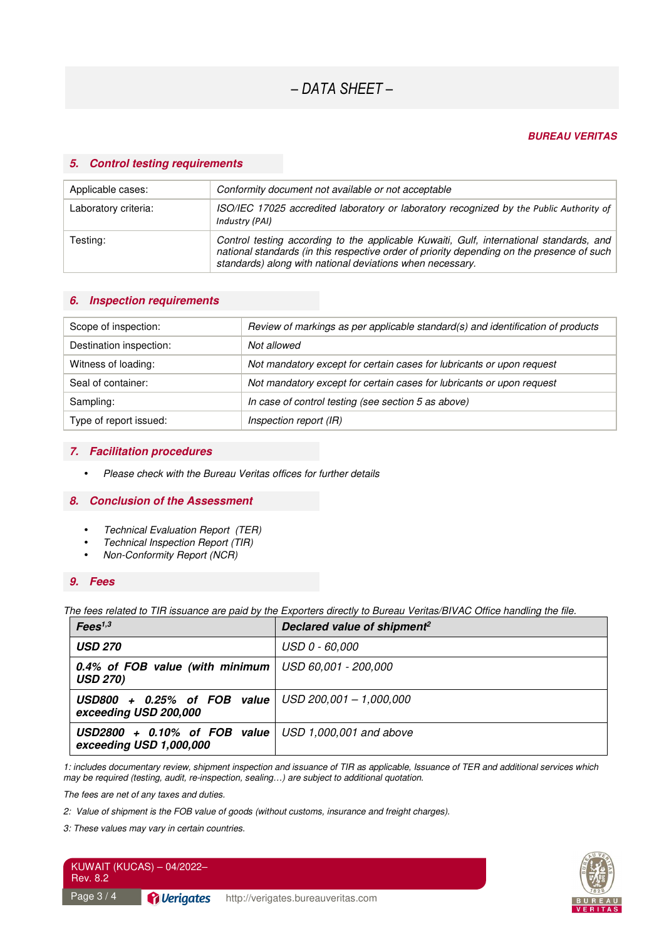#### **BUREAU VERITAS**

#### **5. Control testing requirements**

| Applicable cases:    | Conformity document not available or not acceptable                                                                                                                                                                                                |
|----------------------|----------------------------------------------------------------------------------------------------------------------------------------------------------------------------------------------------------------------------------------------------|
| Laboratory criteria: | ISO/IEC 17025 accredited laboratory or laboratory recognized by the Public Authority of<br>Industry (PAI)                                                                                                                                          |
| Testing:             | Control testing according to the applicable Kuwaiti, Gulf, international standards, and<br>national standards (in this respective order of priority depending on the presence of such<br>standards) along with national deviations when necessary. |

#### **6. Inspection requirements**

| Scope of inspection:    | Review of markings as per applicable standard(s) and identification of products |
|-------------------------|---------------------------------------------------------------------------------|
| Destination inspection: | Not allowed                                                                     |
| Witness of loading:     | Not mandatory except for certain cases for lubricants or upon request           |
| Seal of container:      | Not mandatory except for certain cases for lubricants or upon request           |
| Sampling:               | In case of control testing (see section 5 as above)                             |
| Type of report issued:  | Inspection report (IR)                                                          |

#### **7. Facilitation procedures**

• *Please check with the Bureau Veritas offices for further details* 

#### **8. Conclusion of the Assessment**

- *Technical Evaluation Report (TER)*
- *Technical Inspection Report (TIR)*
- *Non-Conformity Report (NCR)*

#### **9. Fees**

*The fees related to TIR issuance are paid by the Exporters directly to Bureau Veritas/BIVAC Office handling the file.* 

| Fees <sup>1,3</sup>                                                                        | Declared value of shipment <sup>2</sup> |
|--------------------------------------------------------------------------------------------|-----------------------------------------|
| <b>USD 270</b>                                                                             | USD 0 - 60,000                          |
| <b>0.4% of FOB value (with minimum   USD 60,001 - 200,000</b><br><b>USD 270)</b>           |                                         |
| <b>USD800</b> + 0.25% of FOB value $ $ USD 200,001 - 1,000,000<br>exceeding USD 200,000    |                                         |
| <b>USD2800</b> + 0.10% of FOB value $ $ USD 1,000,001 and above<br>exceeding USD 1,000,000 |                                         |

*1: includes documentary review, shipment inspection and issuance of TIR as applicable, Issuance of TER and additional services which may be required (testing, audit, re-inspection, sealing…) are subject to additional quotation.* 

*The fees are net of any taxes and duties.* 

*2: Value of shipment is the FOB value of goods (without customs, insurance and freight charges).* 

*3: These values may vary in certain countries.*